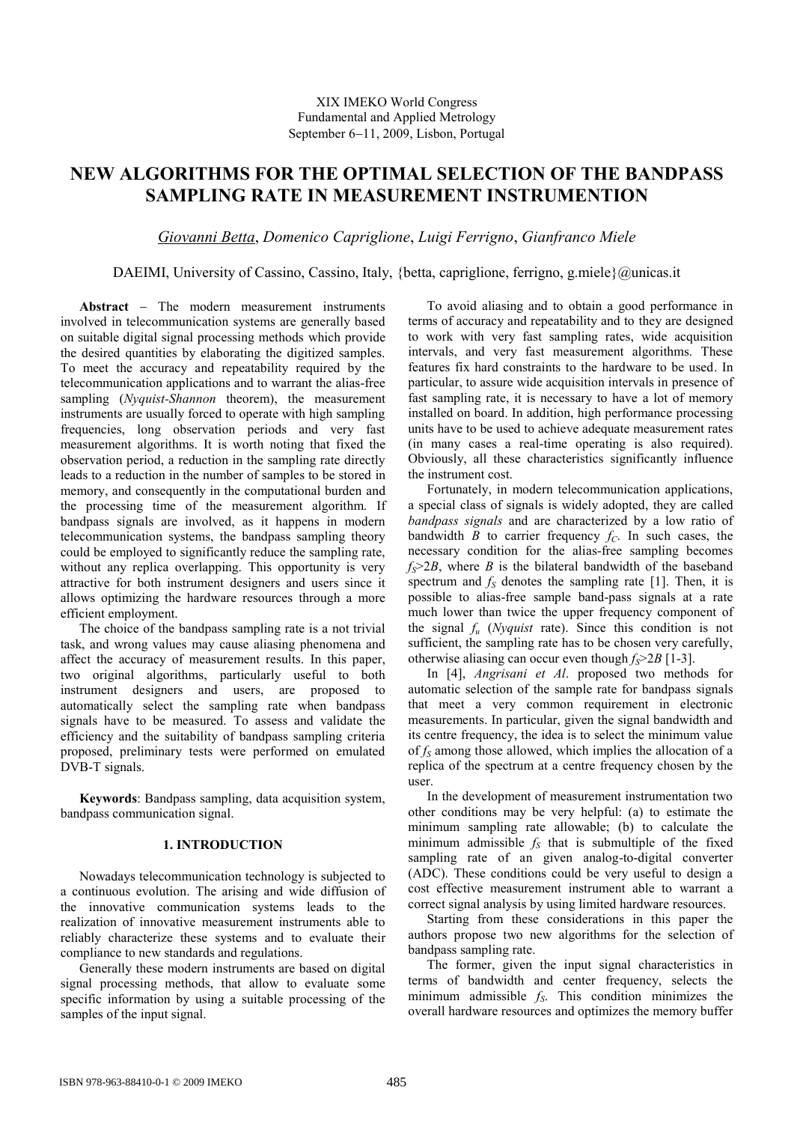# **NEW ALGORITHMS FOR THE OPTIMAL SELECTION OF THE BANDPASS SAMPLING RATE IN MEASUREMENT INSTRUMENTION**

*Giovanni Betta*, *Domenico Capriglione*, *Luigi Ferrigno*, *Gianfranco Miele*

# DAEIMI, University of Cassino, Cassino, Italy, {betta, capriglione, ferrigno, g.miele} $@$ unicas.it

Abstract – The modern measurement instruments involved in telecommunication systems are generally based on suitable digital signal processing methods which provide the desired quantities by elaborating the digitized samples. To meet the accuracy and repeatability required by the telecommunication applications and to warrant the alias-free sampling (*Nyquist-Shannon* theorem), the measurement instruments are usually forced to operate with high sampling frequencies, long observation periods and very fast measurement algorithms. It is worth noting that fixed the observation period, a reduction in the sampling rate directly leads to a reduction in the number of samples to be stored in memory, and consequently in the computational burden and the processing time of the measurement algorithm. If bandpass signals are involved, as it happens in modern telecommunication systems, the bandpass sampling theory could be employed to significantly reduce the sampling rate, without any replica overlapping. This opportunity is very attractive for both instrument designers and users since it allows optimizing the hardware resources through a more efficient employment.

The choice of the bandpass sampling rate is a not trivial task, and wrong values may cause aliasing phenomena and affect the accuracy of measurement results. In this paper, two original algorithms, particularly useful to both instrument designers and users, are proposed to automatically select the sampling rate when bandpass signals have to be measured. To assess and validate the efficiency and the suitability of bandpass sampling criteria proposed, preliminary tests were performed on emulated DVB-T signals.

**Keywords**: Bandpass sampling, data acquisition system, bandpass communication signal.

# **1. INTRODUCTION**

Nowadays telecommunication technology is subjected to a continuous evolution. The arising and wide diffusion of the innovative communication systems leads to the realization of innovative measurement instruments able to reliably characterize these systems and to evaluate their compliance to new standards and regulations.

Generally these modern instruments are based on digital signal processing methods, that allow to evaluate some specific information by using a suitable processing of the samples of the input signal.

To avoid aliasing and to obtain a good performance in terms of accuracy and repeatability and to they are designed to work with very fast sampling rates, wide acquisition intervals, and very fast measurement algorithms. These features fix hard constraints to the hardware to be used. In particular, to assure wide acquisition intervals in presence of fast sampling rate, it is necessary to have a lot of memory installed on board. In addition, high performance processing units have to be used to achieve adequate measurement rates (in many cases a real-time operating is also required). Obviously, all these characteristics significantly influence the instrument cost.

Fortunately, in modern telecommunication applications, a special class of signals is widely adopted, they are called *bandpass signals* and are characterized by a low ratio of bandwidth *B* to carrier frequency  $f_c$ . In such cases, the necessary condition for the alias-free sampling becomes  $f_s$  $>$ 2*B*, where *B* is the bilateral bandwidth of the baseband spectrum and  $f<sub>S</sub>$  denotes the sampling rate [\[1\].](#page-5-0) Then, it is possible to alias-free sample band-pass signals at a rate much lower than twice the upper frequency component of the signal *f<sup>u</sup>* (*Nyquist* rate). Since this condition is not sufficient, the sampling rate has to be chosen very carefully, otherwise aliasing can occur even though *fS*>2*B* [1-3].

In [\[4\],](#page-5-1) *Angrisani et Al*. proposed two methods for automatic selection of the sample rate for bandpass signals that meet a very common requirement in electronic measurements. In particular, given the signal bandwidth and its centre frequency, the idea is to select the minimum value of *f<sup>S</sup>* among those allowed, which implies the allocation of a replica of the spectrum at a centre frequency chosen by the user.

In the development of measurement instrumentation two other conditions may be very helpful: (a) to estimate the minimum sampling rate allowable; (b) to calculate the minimum admissible  $f<sub>S</sub>$  that is submultiple of the fixed sampling rate of an given analog-to-digital converter (ADC). These conditions could be very useful to design a cost effective measurement instrument able to warrant a correct signal analysis by using limited hardware resources.

Starting from these considerations in this paper the authors propose two new algorithms for the selection of bandpass sampling rate.

The former, given the input signal characteristics in terms of bandwidth and center frequency, selects the minimum admissible *fS*. This condition minimizes the overall hardware resources and optimizes the memory buffer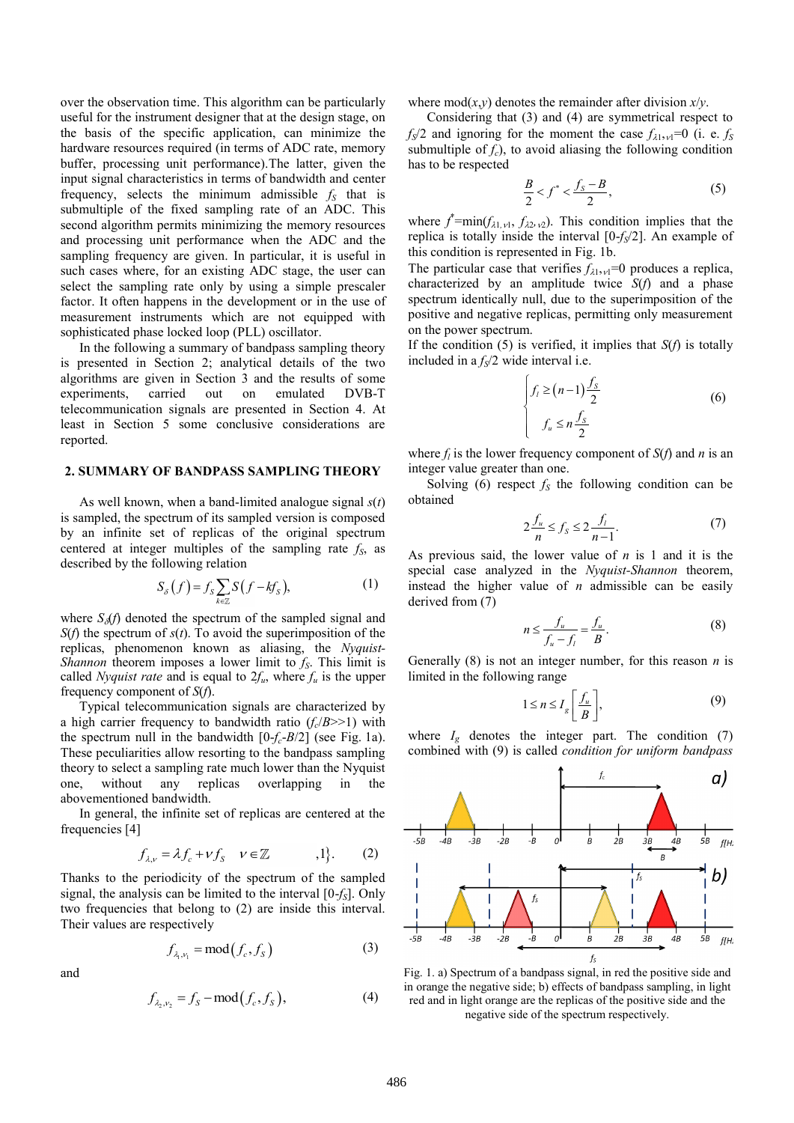over the observation time. This algorithm can be particularly useful for the instrument designer that at the design stage, on the basis of the specific application, can minimize the hardware resources required (in terms of ADC rate, memory buffer, processing unit performance).The latter, given the input signal characteristics in terms of bandwidth and center frequency, selects the minimum admissible *f<sup>S</sup>* that is submultiple of the fixed sampling rate of an ADC. This second algorithm permits minimizing the memory resources and processing unit performance when the ADC and the sampling frequency are given. In particular, it is useful in such cases where, for an existing ADC stage, the user can select the sampling rate only by using a simple prescaler factor. It often happens in the development or in the use of measurement instruments which are not equipped with sophisticated phase locked loop (PLL) oscillator.

In the following a summary of bandpass sampling theory is presented in Section 2; analytical details of the two algorithms are given in Section 3 and the results of some experiments, carried out on emulated DVB-T telecommunication signals are presented in Section 4. At least in Section 5 some conclusive considerations are reported.

#### **2. SUMMARY OF BANDPASS SAMPLING THEORY**

As well known, when a band-limited analogue signal *s*(*t*) is sampled, the spectrum of its sampled version is composed by an infinite set of replicas of the original spectrum centered at integer multiples of the sampling rate *fS*, as described by the following relation

$$
S_{\delta}(f) = f_{S} \sum_{k \in \mathbb{Z}} S(f - kf_{S}), \qquad (1)
$$

where  $S_{\delta}(f)$  denoted the spectrum of the sampled signal and *S*(*f*) the spectrum of *s*(*t*). To avoid the superimposition of the replicas, phenomenon known as aliasing, the *Nyquist-Shannon* theorem imposes a lower limit to *fS*. This limit is called *Nyquist rate* and is equal to  $2f_u$ , where  $f_u$  is the upper frequency component of *S*(*f*).

Typical telecommunication signals are characterized by a high carrier frequency to bandwidth ratio  $(f_c/B>>1)$  with the spectrum null in the bandwidth  $[0-f_c-B/2]$  (see Fig. 1a). These peculiarities allow resorting to the bandpass sampling theory to select a sampling rate much lower than the Nyquist one, without any replicas overlapping in the abovementioned bandwidth.

In general, the infinite set of replicas are centered at the frequencies [\[4\]](#page-5-1)

$$
f_{\lambda,\nu} = \lambda f_c + \nu f_S \quad \nu \in \mathbb{Z} \qquad ,1 \}.
$$
 (2)

Thanks to the periodicity of the spectrum of the sampled signal, the analysis can be limited to the interval [0-*fS*]. Only two frequencies that belong to (2) are inside this interval. Their values are respectively

$$
f_{\lambda_1,\nu_1} = \text{mod}(f_c, f_s) \tag{3}
$$

and

$$
f_{\lambda_2,\nu_2} = f_S - \text{mod}(f_c, f_S),
$$
 (4)

where mod $(x, y)$  denotes the remainder after division  $x/y$ .

Considering that (3) and (4) are symmetrical respect to  $f_S/2$  and ignoring for the moment the case  $f_{\lambda_1,\nu_1}=0$  (i. e.  $f_S$ submultiple of  $f_c$ ), to avoid aliasing the following condition has to be respected

$$
\frac{B}{2} < f^* < \frac{f_s - B}{2},\tag{5}
$$

where  $f^*$ =min( $f_{\lambda 1, \nu 1}$ ,  $f_{\lambda 2, \nu 2}$ ). This condition implies that the replica is totally inside the interval [0-*fS*/2]. An example of this condition is represented in Fig. 1b.

The particular case that verifies  $f_{\lambda 1, \nu 1}$ =0 produces a replica, characterized by an amplitude twice *S*(*f*) and a phase spectrum identically null, due to the superimposition of the positive and negative replicas, permitting only measurement on the power spectrum.

If the condition (5) is verified, it implies that *S*(*f*) is totally included in a *fS*/2 wide interval i.e.

$$
\begin{cases}\nf_l \ge (n-1)\frac{f_s}{2} \\
f_u \le n\frac{f_s}{2}\n\end{cases}
$$
\n(6)

where  $f_l$  is the lower frequency component of  $S(f)$  and *n* is an integer value greater than one.

Solving (6) respect  $f_s$  the following condition can be obtained

$$
2\frac{f_u}{n} \le f_s \le 2\frac{f_l}{n-1}.\tag{7}
$$

As previous said, the lower value of *n* is 1 and it is the special case analyzed in the *Nyquist-Shannon* theorem, instead the higher value of *n* admissible can be easily derived from (7)

$$
n \le \frac{f_u}{f_u - f_l} = \frac{f_u}{B}.\tag{8}
$$

Generally (8) is not an integer number, for this reason *n* is limited in the following range

$$
1 \le n \le I_g \left[ \frac{f_u}{B} \right],\tag{9}
$$

where  $I_g$  denotes the integer part. The condition (7) combined with (9) is called *condition for uniform bandpass* 



Fig. 1. a) Spectrum of a bandpass signal, in red the positive side and in orange the negative side; b) effects of bandpass sampling, in light red and in light orange are the replicas of the positive side and the negative side of the spectrum respectively.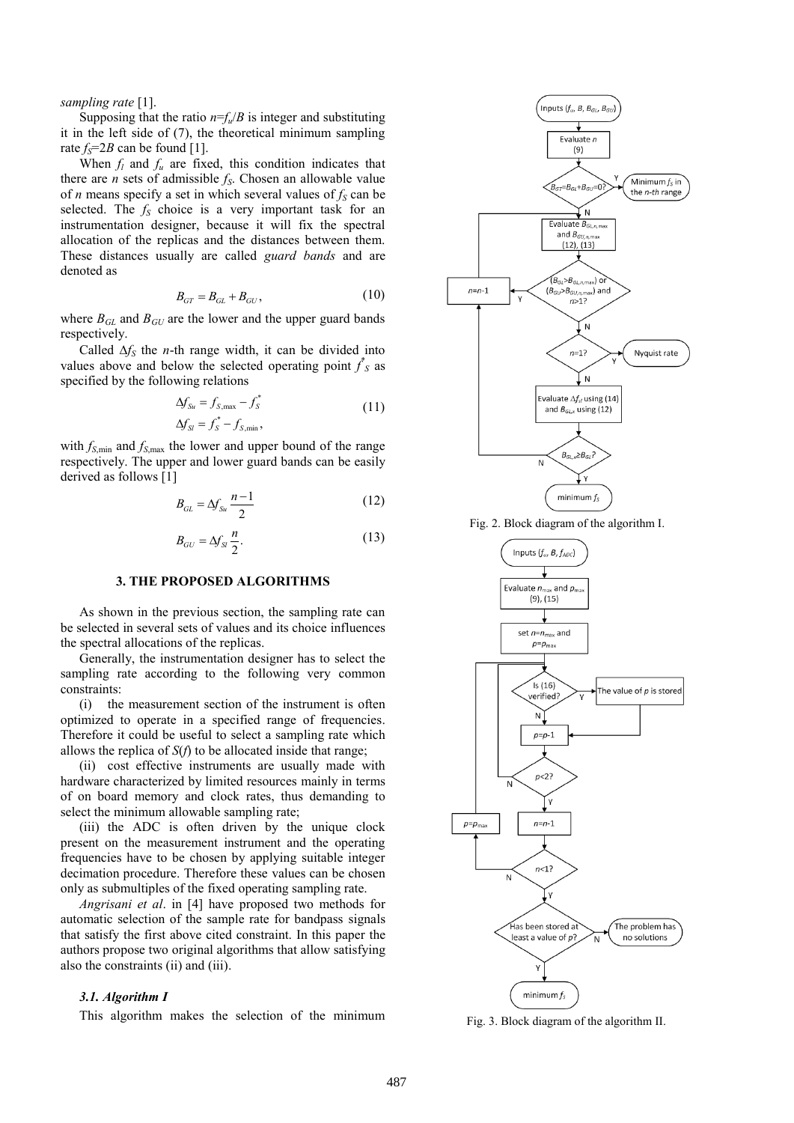*sampling rate* [\[1\].](#page-5-0)

Supposing that the ratio  $n = f_u/B$  is integer and substituting it in the left side of (7), the theoretical minimum sampling rate  $f_s = 2B$  can be found [\[1\].](#page-5-0)

When  $f_l$  and  $f_u$  are fixed, this condition indicates that there are *n* sets of admissible *fS*. Chosen an allowable value of *n* means specify a set in which several values of *f<sup>S</sup>* can be selected. The *f<sup>S</sup>* choice is a very important task for an instrumentation designer, because it will fix the spectral allocation of the replicas and the distances between them. These distances usually are called *guard bands* and are denoted as

$$
B_{GT} = B_{GL} + B_{GU},
$$
 (10)

where  $B_{GL}$  and  $B_{GU}$  are the lower and the upper guard bands respectively.

Called  $\Delta f_S$  the *n*-th range width, it can be divided into values above and below the selected operating point  $f_s$  as specified by the following relations

$$
\Delta f_{Su} = f_{S,\text{max}} - f_{S}^*
$$
\n
$$
\Delta f_{SI} = f_{S}^* - f_{S,\text{min}},
$$
\n(11)

with  $f_{S,\text{min}}$  and  $f_{S,\text{max}}$  the lower and upper bound of the range respectively. The upper and lower guard bands can be easily derived as follows [\[1\]](#page-5-0)

$$
B_{GL} = \Delta f_{Su} \frac{n-1}{2} \tag{12}
$$

$$
B_{GU} = \Delta f_{SI} \frac{n}{2}.
$$
 (13)

# **3. THE PROPOSED ALGORITHMS**

As shown in the previous section, the sampling rate can be selected in several sets of values and its choice influences the spectral allocations of the replicas.

Generally, the instrumentation designer has to select the sampling rate according to the following very common constraints:

(i) the measurement section of the instrument is often optimized to operate in a specified range of frequencies. Therefore it could be useful to select a sampling rate which allows the replica of *S*(*f*) to be allocated inside that range;

(ii) cost effective instruments are usually made with hardware characterized by limited resources mainly in terms of on board memory and clock rates, thus demanding to select the minimum allowable sampling rate;

(iii) the ADC is often driven by the unique clock present on the measurement instrument and the operating frequencies have to be chosen by applying suitable integer decimation procedure. Therefore these values can be chosen only as submultiples of the fixed operating sampling rate.

*Angrisani et al*. in [\[4\]](#page-5-1) have proposed two methods for automatic selection of the sample rate for bandpass signals that satisfy the first above cited constraint. In this paper the authors propose two original algorithms that allow satisfying also the constraints (ii) and (iii).

#### *3.1. Algorithm I*

This algorithm makes the selection of the minimum



Fig. 2. Block diagram of the algorithm I.



Fig. 3. Block diagram of the algorithm II.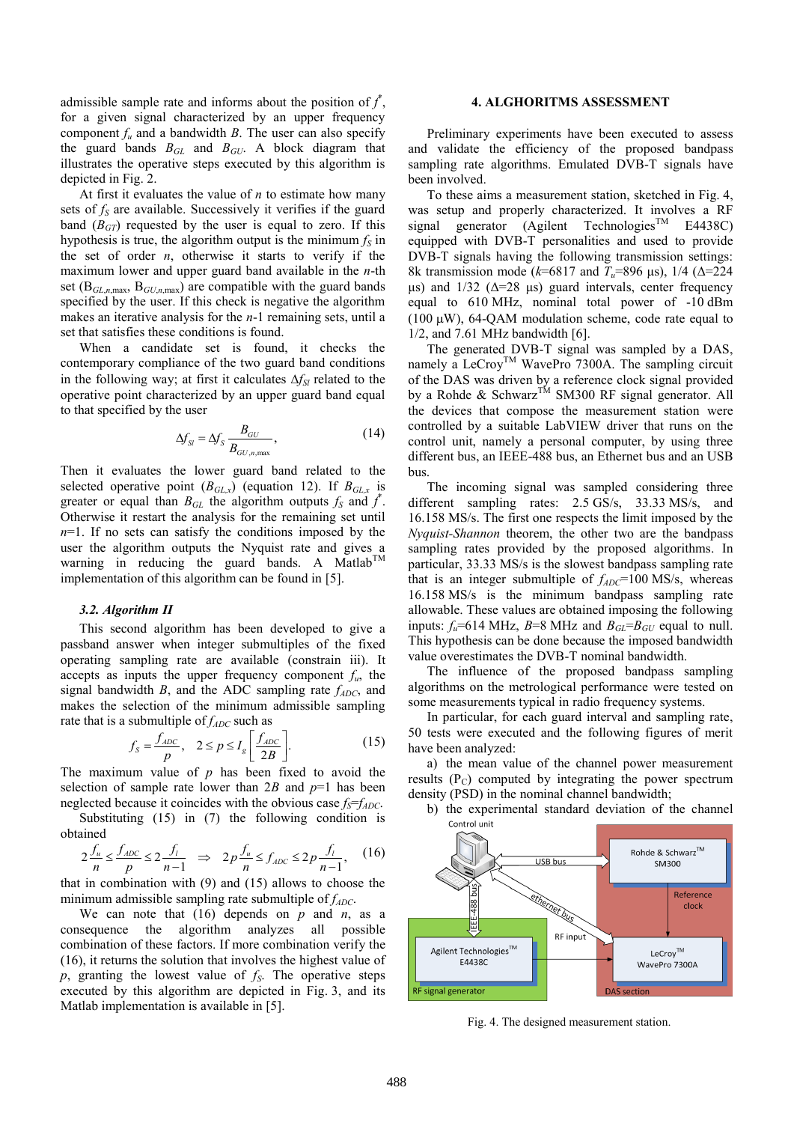admissible sample rate and informs about the position of  $f^*$ , for a given signal characterized by an upper frequency component  $f<sub>u</sub>$  and a bandwidth *B*. The user can also specify the guard bands *BGL* and *BGU*. A block diagram that illustrates the operative steps executed by this algorithm is depicted in Fig. 2.

At first it evaluates the value of *n* to estimate how many sets of  $f_s$  are available. Successively it verifies if the guard band  $(B<sub>GT</sub>)$  requested by the user is equal to zero. If this hypothesis is true, the algorithm output is the minimum  $f<sub>S</sub>$  in the set of order *n*, otherwise it starts to verify if the maximum lower and upper guard band available in the *n*-th set (B*GL*,*n*,max, B*GU*,*n*,max) are compatible with the guard bands specified by the user. If this check is negative the algorithm makes an iterative analysis for the *n*-1 remaining sets, until a set that satisfies these conditions is found.

When a candidate set is found, it checks the contemporary compliance of the two guard band conditions in the following way; at first it calculates  $\Delta f_{SI}$  related to the operative point characterized by an upper guard band equal to that specified by the user

$$
\Delta f_{SI} = \Delta f_S \frac{B_{GU}}{B_{GU,n,\text{max}}},\tag{14}
$$

Then it evaluates the lower guard band related to the selected operative point  $(B_{GL,x})$  (equation 12). If  $B_{GL,x}$  is greater or equal than  $B_{GL}$  the algorithm outputs  $f_S$  and  $f^*$ . Otherwise it restart the analysis for the remaining set until *n*=1. If no sets can satisfy the conditions imposed by the user the algorithm outputs the Nyquist rate and gives a warning in reducing the guard bands. A Matlab<sup>TM</sup> implementation of this algorithm can be found in [\[5\].](#page-5-2)

## *3.2. Algorithm II*

This second algorithm has been developed to give a passband answer when integer submultiples of the fixed operating sampling rate are available (constrain iii). It accepts as inputs the upper frequency component  $f_u$ , the signal bandwidth  $B$ , and the ADC sampling rate  $f_{ADC}$ , and makes the selection of the minimum admissible sampling

rate that is a submultiple of 
$$
f_{ADC}
$$
 such as  

$$
f_s = \frac{f_{ADC}}{p}, \quad 2 \le p \le I_s \left[ \frac{f_{ADC}}{2B} \right].
$$
 (15)

The maximum value of  $p$  has been fixed to avoid the selection of sample rate lower than  $2B$  and  $p=1$  has been neglected because it coincides with the obvious case  $f_s = f_{ADC}$ .

obtained

Substituting (15) in (7) the following condition is  
ained  

$$
2\frac{f_u}{n} \le \frac{f_{ADC}}{p} \le 2\frac{f_l}{n-1} \implies 2p\frac{f_u}{n} \le f_{ADC} \le 2p\frac{f_l}{n-1},
$$
 (16)

that in combination with (9) and (15) allows to choose the minimum admissible sampling rate submultiple of *fADC*.

We can note that  $(16)$  depends on  $p$  and  $n$ , as a consequence the algorithm analyzes all possible combination of these factors. If more combination verify the (16), it returns the solution that involves the highest value of *p*, granting the lowest value of *fS*. The operative steps executed by this algorithm are depicted in Fig. 3, and its Matlab implementation is available in [\[5\].](#page-5-2)

# **4. ALGHORITMS ASSESSMENT**

Preliminary experiments have been executed to assess and validate the efficiency of the proposed bandpass sampling rate algorithms. Emulated DVB-T signals have been involved.

To these aims a measurement station, sketched in Fig. 4, was setup and properly characterized. It involves a RF signal generator (Agilent Technologies<sup>TM</sup> E4438C) equipped with DVB-T personalities and used to provide DVB-T signals having the following transmission settings: 8k transmission mode ( $k=6817$  and  $T<sub>u</sub>=896$  μs), 1/4 (Δ=224 μs) and  $1/32$  ( $Δ=28$  μs) guard intervals, center frequency equal to 610 MHz, nominal total power of -10 dBm (100  $\mu$ W), 64-QAM modulation scheme, code rate equal to 1/2, and 7.61 MHz bandwidt[h \[6\].](#page-5-3) 

The generated DVB-T signal was sampled by a DAS, namely a LeCroy<sup>TM</sup> WavePro 7300A. The sampling circuit of the DAS was driven by a reference clock signal provided by a Rohde & Schwarz<sup>TM</sup> SM300 RF signal generator. All the devices that compose the measurement station were controlled by a suitable LabVIEW driver that runs on the control unit, namely a personal computer, by using three different bus, an IEEE-488 bus, an Ethernet bus and an USB bus.

The incoming signal was sampled considering three different sampling rates: 2.5 GS/s, 33.33 MS/s, and 16.158 MS/s. The first one respects the limit imposed by the *Nyquist-Shannon* theorem, the other two are the bandpass sampling rates provided by the proposed algorithms. In particular, 33.33 MS/s is the slowest bandpass sampling rate that is an integer submultiple of  $f_{ADC}$ =100 MS/s, whereas 16.158 MS/s is the minimum bandpass sampling rate allowable. These values are obtained imposing the following inputs:  $f_u$ =614 MHz, *B*=8 MHz and  $B_{GL} = B_{GU}$  equal to null. This hypothesis can be done because the imposed bandwidth value overestimates the DVB-T nominal bandwidth.

The influence of the proposed bandpass sampling algorithms on the metrological performance were tested on some measurements typical in radio frequency systems.

In particular, for each guard interval and sampling rate, 50 tests were executed and the following figures of merit have been analyzed:

a) the mean value of the channel power measurement results  $(P_C)$  computed by integrating the power spectrum density (PSD) in the nominal channel bandwidth;

b) the experimental standard deviation of the channel Control unit



Fig. 4. The designed measurement station.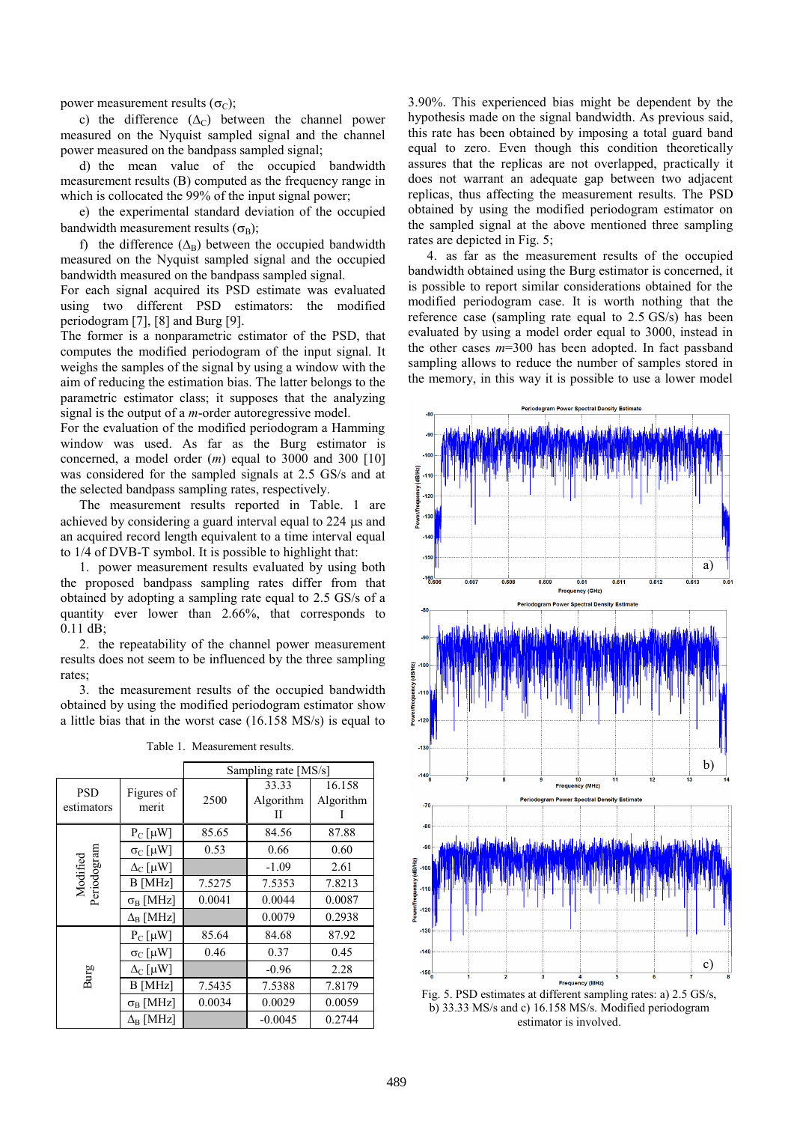power measurement results  $(\sigma_C)$ ;

c) the difference  $(\Delta_C)$  between the channel power measured on the Nyquist sampled signal and the channel power measured on the bandpass sampled signal;

d) the mean value of the occupied bandwidth measurement results (B) computed as the frequency range in which is collocated the 99% of the input signal power;

e) the experimental standard deviation of the occupied bandwidth measurement results  $(\sigma_R)$ ;

f) the difference  $(\Delta_B)$  between the occupied bandwidth measured on the Nyquist sampled signal and the occupied bandwidth measured on the bandpass sampled signal.

For each signal acquired its PSD estimate was evaluated using two different PSD estimators: the modified periodogram [\[7\],](#page-5-4) [\[8\]](#page-5-5) and Burg [\[9\].](#page-5-6)

The former is a nonparametric estimator of the PSD, that computes the modified periodogram of the input signal. It weighs the samples of the signal by using a window with the aim of reducing the estimation bias. The latter belongs to the parametric estimator class; it supposes that the analyzing signal is the output of a *m*-order autoregressive model.

For the evaluation of the modified periodogram a Hamming window was used. As far as the Burg estimator is concerned, a model order (*m*) equal to 3000 and 300 [\[10\]](#page-5-7) was considered for the sampled signals at 2.5 GS/s and at the selected bandpass sampling rates, respectively.

The measurement results reported in Table. 1 are achieved by considering a guard interval equal to 224  $\mu$ s and an acquired record length equivalent to a time interval equal to 1/4 of DVB-T symbol. It is possible to highlight that:

1. power measurement results evaluated by using both the proposed bandpass sampling rates differ from that obtained by adopting a sampling rate equal to 2.5 GS/s of a quantity ever lower than 2.66%, that corresponds to 0.11 dB;

2. the repeatability of the channel power measurement results does not seem to be influenced by the three sampling rates;

3. the measurement results of the occupied bandwidth obtained by using the modified periodogram estimator show a little bias that in the worst case (16.158 MS/s) is equal to

|                          |                        | Sampling rate [MS/s] |                         |                     |
|--------------------------|------------------------|----------------------|-------------------------|---------------------|
| <b>PSD</b><br>estimators | Figures of<br>merit    | 2500                 | 33.33<br>Algorithm<br>П | 16.158<br>Algorithm |
| Modified<br>Periodogram  | $P_C$ [µW]             | 85.65                | 84.56                   | 87.88               |
|                          | $\sigma_C$ [µW]        | 0.53                 | 0.66                    | 0.60                |
|                          | $\Delta_C$ [µW]        |                      | $-1.09$                 | 2.61                |
|                          | B [MHz]                | 7.5275               | 7.5353                  | 7.8213              |
|                          | $\sigma_B$ [MHz]       | 0.0041               | 0.0044                  | 0.0087              |
|                          | $\Delta_{\rm B}$ [MHz] |                      | 0.0079                  | 0.2938              |
| Burg                     | $P_C$ [µW]             | 85.64                | 84.68                   | 87.92               |
|                          | $\sigma_{C}$ [µW]      | 0.46                 | 0.37                    | 0.45                |
|                          | $\Delta_C$ [ $\mu$ W]  |                      | $-0.96$                 | 2.28                |
|                          | <b>B</b> [MHz]         | 7.5435               | 7.5388                  | 7.8179              |
|                          | $\sigma_{\rm B}$ [MHz] | 0.0034               | 0.0029                  | 0.0059              |
|                          | $\Delta_{\rm B}$ [MHz] |                      | $-0.0045$               | 0.2744              |

Table 1. Measurement results.

3.90%. This experienced bias might be dependent by the hypothesis made on the signal bandwidth. As previous said, this rate has been obtained by imposing a total guard band equal to zero. Even though this condition theoretically assures that the replicas are not overlapped, practically it does not warrant an adequate gap between two adjacent replicas, thus affecting the measurement results. The PSD obtained by using the modified periodogram estimator on the sampled signal at the above mentioned three sampling rates are depicted in Fig. 5;

4. as far as the measurement results of the occupied bandwidth obtained using the Burg estimator is concerned, it is possible to report similar considerations obtained for the modified periodogram case. It is worth nothing that the reference case (sampling rate equal to 2.5 GS/s) has been evaluated by using a model order equal to 3000, instead in the other cases *m*=300 has been adopted. In fact passband sampling allows to reduce the number of samples stored in the memory, in this way it is possible to use a lower model



b) 33.33 MS/s and c) 16.158 MS/s. Modified periodogram estimator is involved.